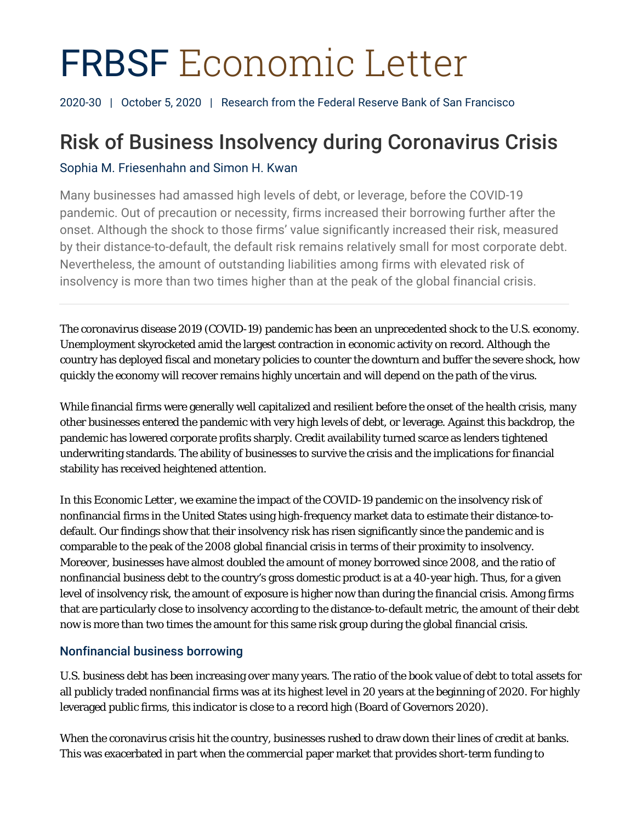# FRBSF Economic Letter

2020-30 | October 5, 2020 | Research from the Federal Reserve Bank of San Francisco

# Risk of Business Insolvency during Coronavirus Crisis

## Sophia M. Friesenhahn and Simon H. Kwan

Many businesses had amassed high levels of debt, or leverage, before the COVID-19 pandemic. Out of precaution or necessity, firms increased their borrowing further after the onset. Although the shock to those firms' value significantly increased their risk, measured by their distance-to-default, the default risk remains relatively small for most corporate debt. Nevertheless, the amount of outstanding liabilities among firms with elevated risk of insolvency is more than two times higher than at the peak of the global financial crisis.

The coronavirus disease 2019 (COVID-19) pandemic has been an unprecedented shock to the U.S. economy. Unemployment skyrocketed amid the largest contraction in economic activity on record. Although the country has deployed fiscal and monetary policies to counter the downturn and buffer the severe shock, how quickly the economy will recover remains highly uncertain and will depend on the path of the virus.

While financial firms were generally well capitalized and resilient before the onset of the health crisis, many other businesses entered the pandemic with very high levels of debt, or leverage. Against this backdrop, the pandemic has lowered corporate profits sharply. Credit availability turned scarce as lenders tightened underwriting standards. The ability of businesses to survive the crisis and the implications for financial stability has received heightened attention.

In this *Economic Letter*, we examine the impact of the COVID-19 pandemic on the insolvency risk of nonfinancial firms in the United States using high-frequency market data to estimate their distance-todefault. Our findings show that their insolvency risk has risen significantly since the pandemic and is comparable to the peak of the 2008 global financial crisis in terms of their proximity to insolvency. Moreover, businesses have almost doubled the amount of money borrowed since 2008, and the ratio of nonfinancial business debt to the country's gross domestic product is at a 40-year high. Thus, for a given level of insolvency risk, the amount of exposure is higher now than during the financial crisis. Among firms that are particularly close to insolvency according to the distance-to-default metric, the amount of their debt now is more than two times the amount for this same risk group during the global financial crisis.

#### Nonfinancial business borrowing

U.S. business debt has been increasing over many years. The ratio of the book value of debt to total assets for all publicly traded nonfinancial firms was at its highest level in 20 years at the beginning of 2020. For highly leveraged public firms, this indicator is close to a record high (Board of Governors 2020).

When the coronavirus crisis hit the country, businesses rushed to draw down their lines of credit at banks. This was exacerbated in part when the commercial paper market that provides short-term funding to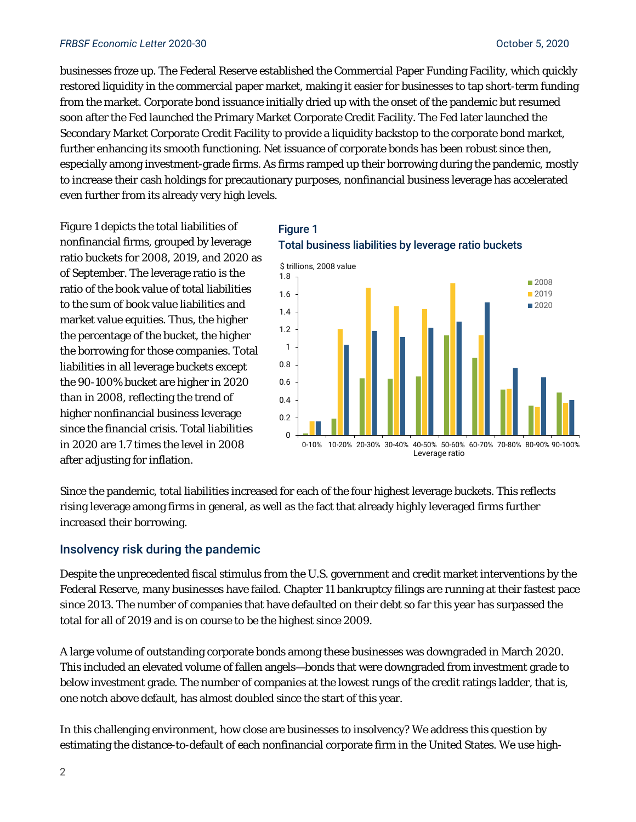#### *FRBSF Economic Letter* 2020-30 October 5, 2020

businesses froze up. The Federal Reserve established the Commercial Paper Funding Facility, which quickly restored liquidity in the commercial paper market, making it easier for businesses to tap short-term funding from the market. Corporate bond issuance initially dried up with the onset of the pandemic but resumed soon after the Fed launched the Primary Market Corporate Credit Facility. The Fed later launched the Secondary Market Corporate Credit Facility to provide a liquidity backstop to the corporate bond market, further enhancing its smooth functioning. Net issuance of corporate bonds has been robust since then, especially among investment-grade firms. As firms ramped up their borrowing during the pandemic, mostly to increase their cash holdings for precautionary purposes, nonfinancial business leverage has accelerated even further from its already very high levels.

Figure 1 depicts the total liabilities of nonfinancial firms, grouped by leverage ratio buckets for 2008, 2019, and 2020 as of September. The leverage ratio is the ratio of the book value of total liabilities to the sum of book value liabilities and market value equities. Thus, the higher the percentage of the bucket, the higher the borrowing for those companies. Total liabilities in all leverage buckets except the 90-100% bucket are higher in 2020 than in 2008, reflecting the trend of higher nonfinancial business leverage since the financial crisis. Total liabilities in 2020 are 1.7 times the level in 2008 after adjusting for inflation.

#### Figure 1 Total business liabilities by leverage ratio buckets



Since the pandemic, total liabilities increased for each of the four highest leverage buckets. This reflects rising leverage among firms in general, as well as the fact that already highly leveraged firms further increased their borrowing.

#### Insolvency risk during the pandemic

Despite the unprecedented fiscal stimulus from the U.S. government and credit market interventions by the Federal Reserve, many businesses have failed. Chapter 11 bankruptcy filings are running at their fastest pace since 2013. The number of companies that have defaulted on their debt so far this year has surpassed the total for all of 2019 and is on course to be the highest since 2009.

A large volume of outstanding corporate bonds among these businesses was downgraded in March 2020. This included an elevated volume of fallen angels—bonds that were downgraded from investment grade to below investment grade. The number of companies at the lowest rungs of the credit ratings ladder, that is, one notch above default, has almost doubled since the start of this year.

In this challenging environment, how close are businesses to insolvency? We address this question by estimating the distance-to-default of each nonfinancial corporate firm in the United States. We use high-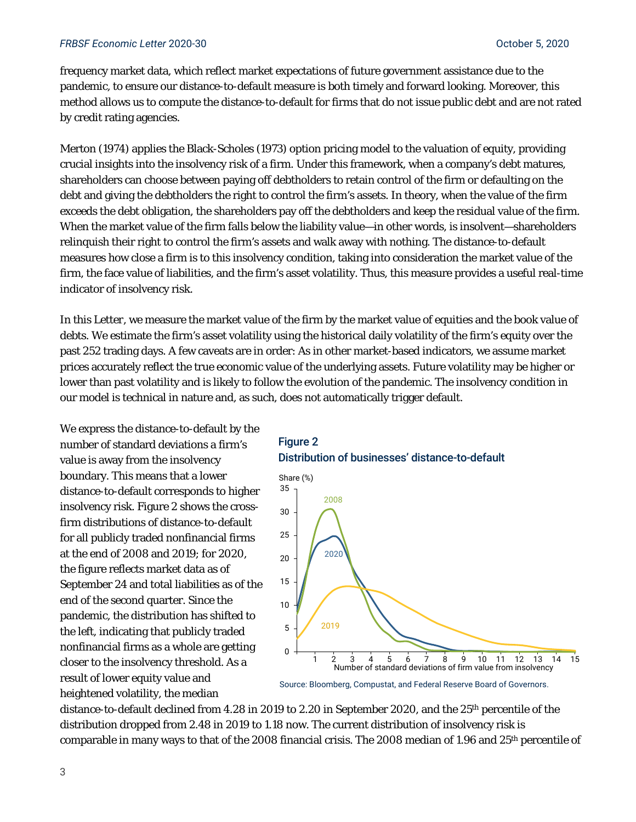#### *FRBSF Economic Letter* 2020-30 October 5, 2020

frequency market data, which reflect market expectations of future government assistance due to the pandemic, to ensure our distance-to-default measure is both timely and forward looking. Moreover, this method allows us to compute the distance-to-default for firms that do not issue public debt and are not rated by credit rating agencies.

Merton (1974) applies the Black-Scholes (1973) option pricing model to the valuation of equity, providing crucial insights into the insolvency risk of a firm. Under this framework, when a company's debt matures, shareholders can choose between paying off debtholders to retain control of the firm or defaulting on the debt and giving the debtholders the right to control the firm's assets. In theory, when the value of the firm exceeds the debt obligation, the shareholders pay off the debtholders and keep the residual value of the firm. When the market value of the firm falls below the liability value—in other words, is insolvent—shareholders relinquish their right to control the firm's assets and walk away with nothing. The distance-to-default measures how close a firm is to this insolvency condition, taking into consideration the market value of the firm, the face value of liabilities, and the firm's asset volatility. Thus, this measure provides a useful real-time indicator of insolvency risk.

In this *Letter*, we measure the market value of the firm by the market value of equities and the book value of debts. We estimate the firm's asset volatility using the historical daily volatility of the firm's equity over the past 252 trading days. A few caveats are in order: As in other market-based indicators, we assume market prices accurately reflect the true economic value of the underlying assets. Future volatility may be higher or lower than past volatility and is likely to follow the evolution of the pandemic. The insolvency condition in our model is technical in nature and, as such, does not automatically trigger default.

We express the distance-to-default by the number of standard deviations a firm's value is away from the insolvency boundary. This means that a lower distance-to-default corresponds to higher insolvency risk. Figure 2 shows the crossfirm distributions of distance-to-default for all publicly traded nonfinancial firms at the end of 2008 and 2019; for 2020, the figure reflects market data as of September 24 and total liabilities as of the end of the second quarter. Since the pandemic, the distribution has shifted to the left, indicating that publicly traded nonfinancial firms as a whole are getting closer to the insolvency threshold. As a result of lower equity value and heightened volatility, the median





distance-to-default declined from 4.28 in 2019 to 2.20 in September 2020, and the 25th percentile of the distribution dropped from 2.48 in 2019 to 1.18 now. The current distribution of insolvency risk is comparable in many ways to that of the 2008 financial crisis. The 2008 median of 1.96 and 25<sup>th</sup> percentile of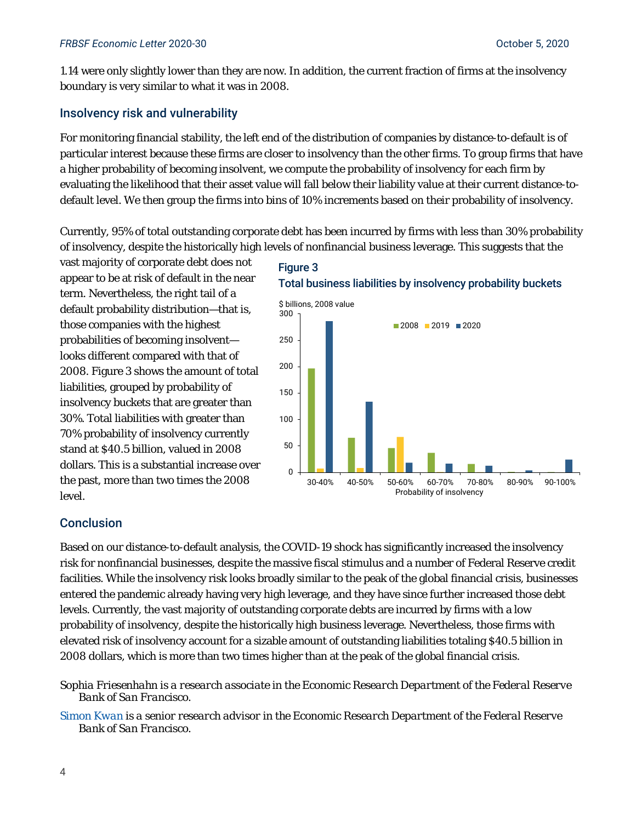1.14 were only slightly lower than they are now. In addition, the current fraction of firms at the insolvency boundary is very similar to what it was in 2008.

#### Insolvency risk and vulnerability

For monitoring financial stability, the left end of the distribution of companies by distance-to-default is of particular interest because these firms are closer to insolvency than the other firms. To group firms that have a higher probability of becoming insolvent, we compute the probability of insolvency for each firm by evaluating the likelihood that their asset value will fall below their liability value at their current distance-todefault level. We then group the firms into bins of 10% increments based on their probability of insolvency.

Currently, 95% of total outstanding corporate debt has been incurred by firms with less than 30% probability of insolvency, despite the historically high levels of nonfinancial business leverage. This suggests that the

vast majority of corporate debt does not appear to be at risk of default in the near term. Nevertheless, the right tail of a default probability distribution—that is, those companies with the highest probabilities of becoming insolvent looks different compared with that of 2008. Figure 3 shows the amount of total liabilities, grouped by probability of insolvency buckets that are greater than 30%. Total liabilities with greater than 70% probability of insolvency currently stand at \$40.5 billion, valued in 2008 dollars. This is a substantial increase over the past, more than two times the 2008 level.

### Figure 3





#### Conclusion

Based on our distance-to-default analysis, the COVID-19 shock has significantly increased the insolvency risk for nonfinancial businesses, despite the massive fiscal stimulus and a number of Federal Reserve credit facilities. While the insolvency risk looks broadly similar to the peak of the global financial crisis, businesses entered the pandemic already having very high leverage, and they have since further increased those debt levels. Currently, the vast majority of outstanding corporate debts are incurred by firms with a low probability of insolvency, despite the historically high business leverage. Nevertheless, those firms with elevated risk of insolvency account for a sizable amount of outstanding liabilities totaling \$40.5 billion in 2008 dollars, which is more than two times higher than at the peak of the global financial crisis.

*Sophia Friesenhahn is a research associate in the Economic Research Department of the Federal Reserve Bank of San Francisco.* 

*[Simon Kwan](https://www.frbsf.org/economic-research/economists/simon-kwan/) is a senior research advisor in the Economic Research Department of the Federal Reserve Bank of San Francisco.*